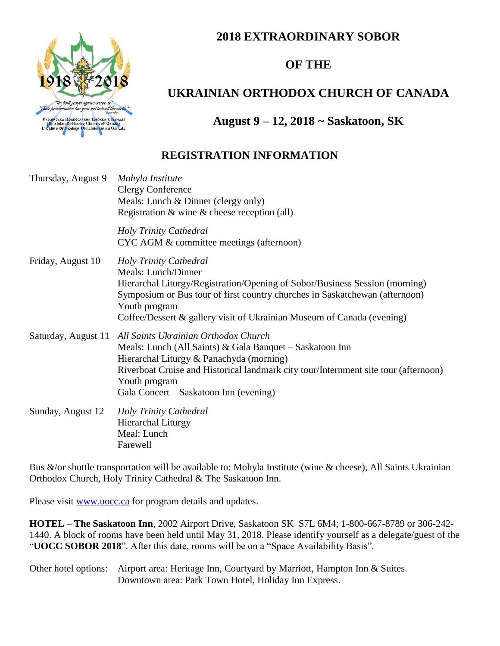### **2018 EXTRAORDINARY SOBOR**





# **UKRAINIAN ORTHODOX CHURCH OF CANADA**

## **August 9 – 12, 2018 ~ Saskatoon, SK**

### **REGISTRATION INFORMATION**

| Thursday, August 9  | Mohyla Institute<br><b>Clergy Conference</b><br>Meals: Lunch & Dinner (clergy only)<br>Registration $\&$ wine $\&$ cheese reception (all)                                                                                                                                                              |
|---------------------|--------------------------------------------------------------------------------------------------------------------------------------------------------------------------------------------------------------------------------------------------------------------------------------------------------|
|                     | <b>Holy Trinity Cathedral</b><br>CYC AGM & committee meetings (afternoon)                                                                                                                                                                                                                              |
| Friday, August 10   | Holy Trinity Cathedral<br>Meals: Lunch/Dinner<br>Hierarchal Liturgy/Registration/Opening of Sobor/Business Session (morning)<br>Symposium or Bus tour of first country churches in Saskatchewan (afternoon)<br>Youth program<br>Coffee/Dessert & gallery visit of Ukrainian Museum of Canada (evening) |
| Saturday, August 11 | All Saints Ukrainian Orthodox Church<br>Meals: Lunch (All Saints) $\&$ Gala Banquet – Saskatoon Inn<br>Hierarchal Liturgy & Panachyda (morning)<br>Riverboat Cruise and Historical landmark city tour/Internment site tour (afternoon)<br>Youth program<br>Gala Concert – Saskatoon Inn (evening)      |
| Sunday, August 12   | <b>Holy Trinity Cathedral</b><br><b>Hierarchal Liturgy</b><br>Meal: Lunch<br>Farewell                                                                                                                                                                                                                  |

Bus &/or shuttle transportation will be available to: Mohyla Institute (wine & cheese), All Saints Ukrainian Orthodox Church, Holy Trinity Cathedral & The Saskatoon Inn.

Please visit [www.uocc.ca](http://www.uocc.ca/) for program details and updates.

**HOTEL** – **The Saskatoon Inn**, 2002 Airport Drive, Saskatoon SK S7L 6M4; 1-800-667-8789 or 306-242- 1440. A block of rooms have been held until May 31, 2018. Please identify yourself as a delegate/guest of the "**UOCC SOBOR 2018**". After this date, rooms will be on a "Space Availability Basis".

Other hotel options: Airport area: Heritage Inn, Courtyard by Marriott, Hampton Inn & Suites. Downtown area: Park Town Hotel, Holiday Inn Express.